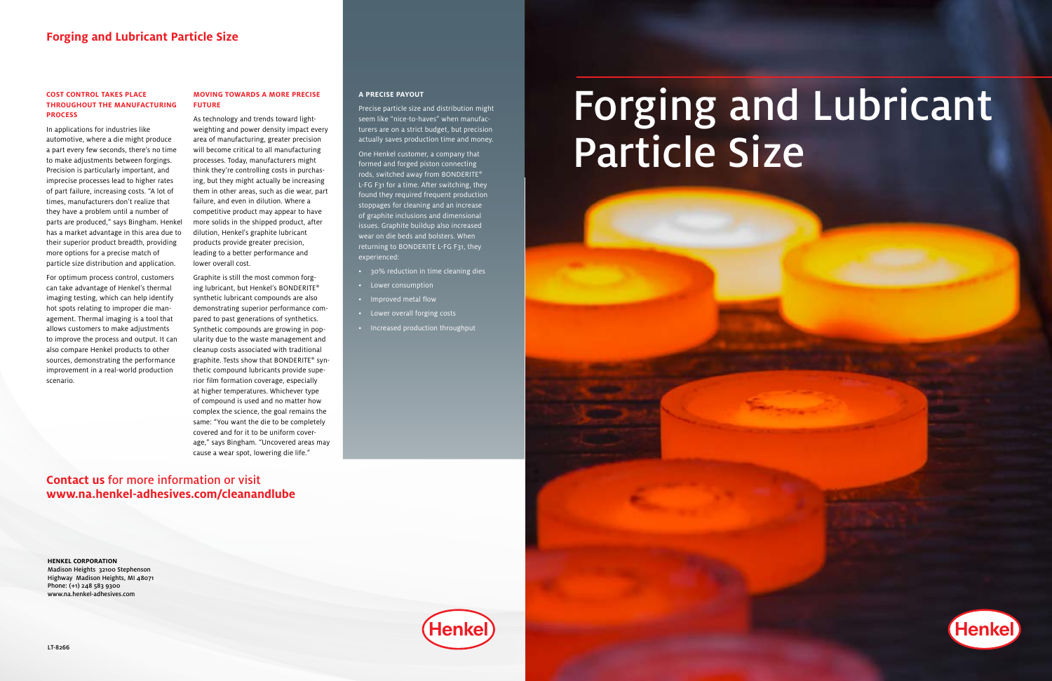# Forging and Lubricant Particle Size



**HENKEL CORPORATION** Madison Heights 32100 Stephenson Highway Madison Heights, MI 48071 Phone: (+1) 248 583 9300 www.na.henkel-adhesives.com

### **Contact us** for more information or visit **www.na.henkel-adhesives.com/cleanandlube**

### **Forging and Lubricant Particle Size**

#### **COST CONTROL TAKES PLACE THROUGHOUT THE MANUFACTURING PROCESS**

In applications for industries like automotive, where a die might produce a part every few seconds, there's no time to make adjustments between forgings. Precision is particularly important, and imprecise processes lead to higher rates of part failure, increasing costs. "A lot of times, manufacturers don't realize that they have a problem until a number of parts are produced," says Bingham. Henkel has a market advantage in this area due to their superior product breadth, providing more options for a precise match of particle size distribution and application.

For optimum process control, customers can take advantage of Henkel's thermal imaging testing, which can help identify hot spots relating to improper die management. Thermal imaging is a tool that allows customers to make adjustments to improve the process and output. It can also compare Henkel products to other sources, demonstrating the performance improvement in a real-world production scenario.

### **MOVING TOWARDS A MORE PRECISE FUTURE**

As technology and trends toward lightweighting and power density impact every area of manufacturing, greater precision will become critical to all manufacturing processes. Today, manufacturers might think they're controlling costs in purchasing, but they might actually be increasing them in other areas, such as die wear, part failure, and even in dilution. Where a competitive product may appear to have more solids in the shipped product, after dilution, Henkel's graphite lubricant products provide greater precision, leading to a better performance and lower overall cost.

Graphite is still the most common forging lubricant, but Henkel's BONDERITE® synthetic lubricant compounds are also demonstrating superior performance compared to past generations of synthetics. Synthetic compounds are growing in popularity due to the waste management and cleanup costs associated with traditional graphite. Tests show that BONDERITE® synthetic compound lubricants provide superior film formation coverage, especially at higher temperatures. Whichever type of compound is used and no matter how complex the science, the goal remains the same: "You want the die to be completely covered and for it to be uniform coverage," says Bingham. "Uncovered areas may cause a wear spot, lowering die life."

### **A PRECISE PAYOUT**

Precise particle size and distribution might seem like "nice-to-haves" when manufacturers are on a strict budget, but precision actually saves production time and money.

One Henkel customer, a company that formed and forged piston connecting rods, switched away from BONDERITE® L-FG F31 for a time. After switching, they found they required frequent production stoppages for cleaning and an increase of graphite inclusions and dimensional issues. Graphite buildup also increased wear on die beds and bolsters. When returning to BONDERITE L-FG F31, they experienced:

- 30% reduction in time cleaning dies
- Lower consumption
- Improved metal flow
- Lower overall forging costs
- Increased production throughput